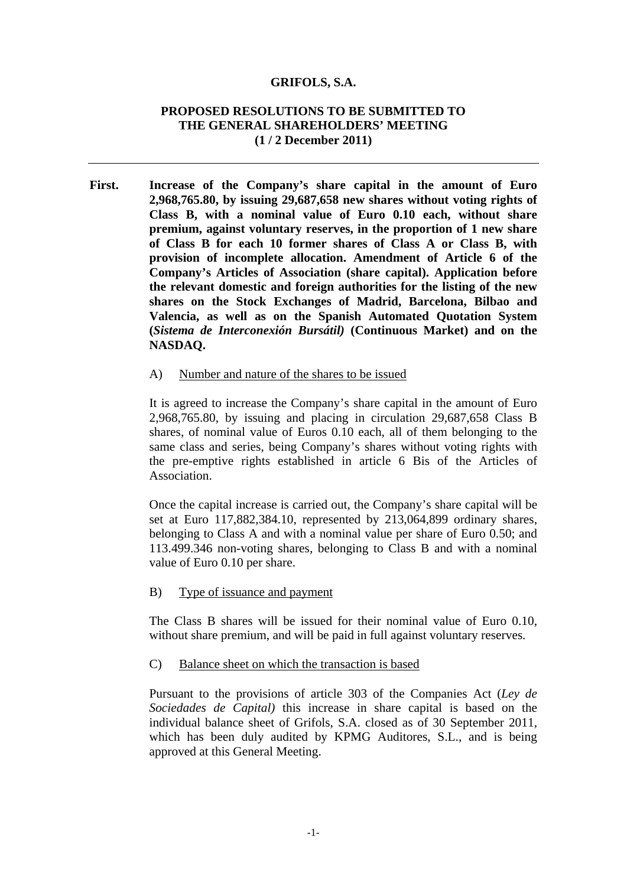#### **GRIFOLS, S.A.**

### **PROPOSED RESOLUTIONS TO BE SUBMITTED TO THE GENERAL SHAREHOLDERS' MEETING (1 / 2 December 2011)**

**First. Increase of the Company's share capital in the amount of Euro 2,968,765.80, by issuing 29,687,658 new shares without voting rights of Class B, with a nominal value of Euro 0.10 each, without share premium, against voluntary reserves, in the proportion of 1 new share of Class B for each 10 former shares of Class A or Class B, with provision of incomplete allocation. Amendment of Article 6 of the Company's Articles of Association (share capital). Application before the relevant domestic and foreign authorities for the listing of the new shares on the Stock Exchanges of Madrid, Barcelona, Bilbao and Valencia, as well as on the Spanish Automated Quotation System (***Sistema de Interconexión Bursátil)* **(Continuous Market) and on the NASDAQ.** 

#### A) Number and nature of the shares to be issued

It is agreed to increase the Company's share capital in the amount of Euro 2,968,765.80, by issuing and placing in circulation 29,687,658 Class B shares, of nominal value of Euros 0.10 each, all of them belonging to the same class and series, being Company's shares without voting rights with the pre-emptive rights established in article 6 Bis of the Articles of Association.

Once the capital increase is carried out, the Company's share capital will be set at Euro 117,882,384.10, represented by 213,064,899 ordinary shares, belonging to Class A and with a nominal value per share of Euro 0.50; and 113.499.346 non-voting shares, belonging to Class B and with a nominal value of Euro 0.10 per share.

B) Type of issuance and payment

The Class B shares will be issued for their nominal value of Euro 0.10, without share premium, and will be paid in full against voluntary reserves.

C) Balance sheet on which the transaction is based

Pursuant to the provisions of article 303 of the Companies Act (*Ley de Sociedades de Capital)* this increase in share capital is based on the individual balance sheet of Grifols, S.A. closed as of 30 September 2011, which has been duly audited by KPMG Auditores, S.L., and is being approved at this General Meeting.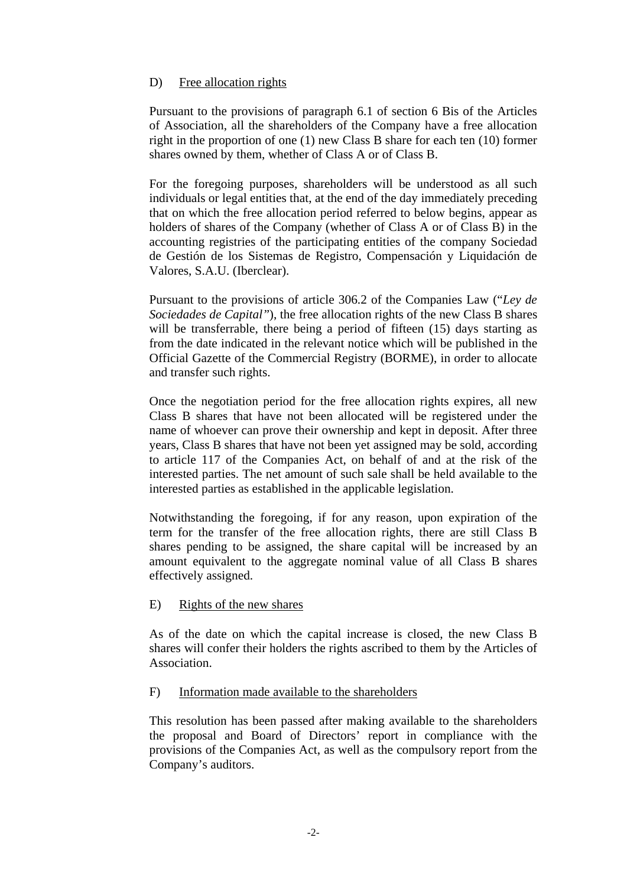# D) Free allocation rights

Pursuant to the provisions of paragraph 6.1 of section 6 Bis of the Articles of Association, all the shareholders of the Company have a free allocation right in the proportion of one (1) new Class B share for each ten (10) former shares owned by them, whether of Class A or of Class B.

For the foregoing purposes, shareholders will be understood as all such individuals or legal entities that, at the end of the day immediately preceding that on which the free allocation period referred to below begins, appear as holders of shares of the Company (whether of Class A or of Class B) in the accounting registries of the participating entities of the company Sociedad de Gestión de los Sistemas de Registro, Compensación y Liquidación de Valores, S.A.U. (Iberclear).

Pursuant to the provisions of article 306.2 of the Companies Law ("*Ley de Sociedades de Capital"*), the free allocation rights of the new Class B shares will be transferrable, there being a period of fifteen (15) days starting as from the date indicated in the relevant notice which will be published in the Official Gazette of the Commercial Registry (BORME), in order to allocate and transfer such rights.

Once the negotiation period for the free allocation rights expires, all new Class B shares that have not been allocated will be registered under the name of whoever can prove their ownership and kept in deposit. After three years, Class B shares that have not been yet assigned may be sold, according to article 117 of the Companies Act, on behalf of and at the risk of the interested parties. The net amount of such sale shall be held available to the interested parties as established in the applicable legislation.

Notwithstanding the foregoing, if for any reason, upon expiration of the term for the transfer of the free allocation rights, there are still Class B shares pending to be assigned, the share capital will be increased by an amount equivalent to the aggregate nominal value of all Class B shares effectively assigned.

### E) Rights of the new shares

As of the date on which the capital increase is closed, the new Class B shares will confer their holders the rights ascribed to them by the Articles of Association.

### F) Information made available to the shareholders

This resolution has been passed after making available to the shareholders the proposal and Board of Directors' report in compliance with the provisions of the Companies Act, as well as the compulsory report from the Company's auditors.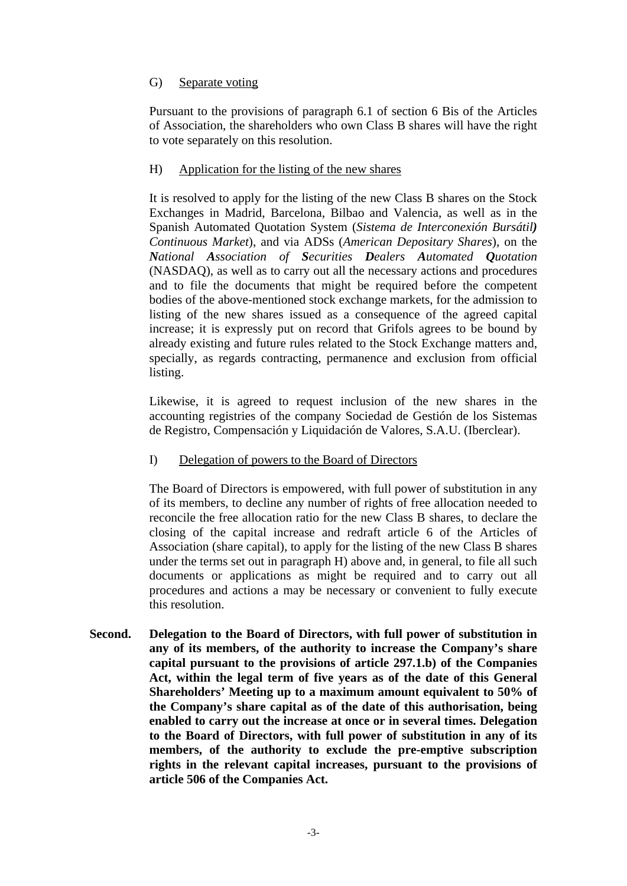# G) Separate voting

Pursuant to the provisions of paragraph 6.1 of section 6 Bis of the Articles of Association, the shareholders who own Class B shares will have the right to vote separately on this resolution.

### H) Application for the listing of the new shares

It is resolved to apply for the listing of the new Class B shares on the Stock Exchanges in Madrid, Barcelona, Bilbao and Valencia, as well as in the Spanish Automated Quotation System (*Sistema de Interconexión Bursátil) Continuous Market*), and via ADSs (*American Depositary Shares*), on the *National Association of Securities Dealers Automated Quotation* (NASDAQ), as well as to carry out all the necessary actions and procedures and to file the documents that might be required before the competent bodies of the above-mentioned stock exchange markets, for the admission to listing of the new shares issued as a consequence of the agreed capital increase; it is expressly put on record that Grifols agrees to be bound by already existing and future rules related to the Stock Exchange matters and, specially, as regards contracting, permanence and exclusion from official listing.

Likewise, it is agreed to request inclusion of the new shares in the accounting registries of the company Sociedad de Gestión de los Sistemas de Registro, Compensación y Liquidación de Valores, S.A.U. (Iberclear).

I) Delegation of powers to the Board of Directors

The Board of Directors is empowered, with full power of substitution in any of its members, to decline any number of rights of free allocation needed to reconcile the free allocation ratio for the new Class B shares, to declare the closing of the capital increase and redraft article 6 of the Articles of Association (share capital), to apply for the listing of the new Class B shares under the terms set out in paragraph H) above and, in general, to file all such documents or applications as might be required and to carry out all procedures and actions a may be necessary or convenient to fully execute this resolution.

**Second. Delegation to the Board of Directors, with full power of substitution in any of its members, of the authority to increase the Company's share capital pursuant to the provisions of article 297.1.b) of the Companies Act, within the legal term of five years as of the date of this General Shareholders' Meeting up to a maximum amount equivalent to 50% of the Company's share capital as of the date of this authorisation, being enabled to carry out the increase at once or in several times. Delegation to the Board of Directors, with full power of substitution in any of its members, of the authority to exclude the pre-emptive subscription rights in the relevant capital increases, pursuant to the provisions of article 506 of the Companies Act.**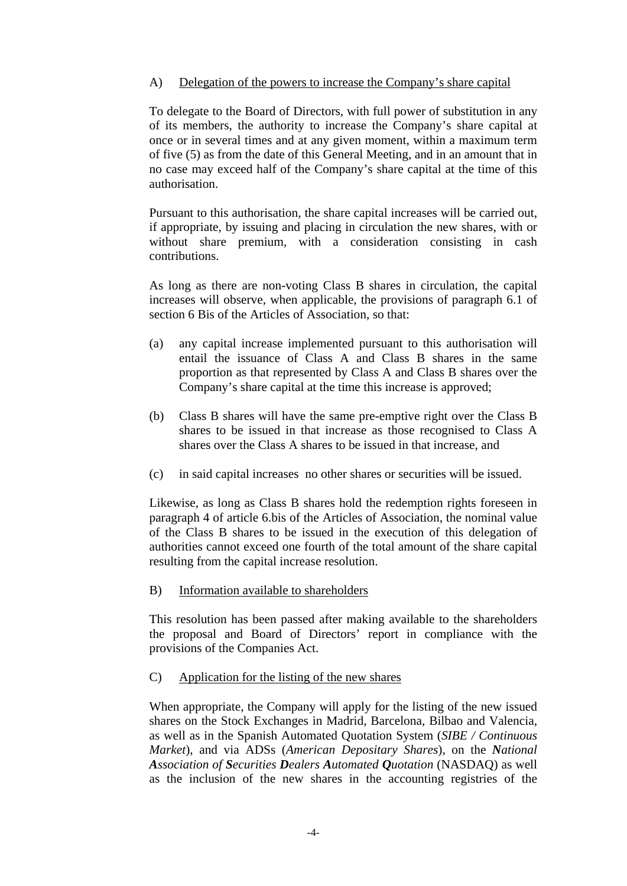# A) Delegation of the powers to increase the Company's share capital

To delegate to the Board of Directors, with full power of substitution in any of its members, the authority to increase the Company's share capital at once or in several times and at any given moment, within a maximum term of five (5) as from the date of this General Meeting, and in an amount that in no case may exceed half of the Company's share capital at the time of this authorisation.

Pursuant to this authorisation, the share capital increases will be carried out, if appropriate, by issuing and placing in circulation the new shares, with or without share premium, with a consideration consisting in cash contributions.

As long as there are non-voting Class B shares in circulation, the capital increases will observe, when applicable, the provisions of paragraph 6.1 of section 6 Bis of the Articles of Association, so that:

- (a) any capital increase implemented pursuant to this authorisation will entail the issuance of Class A and Class B shares in the same proportion as that represented by Class A and Class B shares over the Company's share capital at the time this increase is approved;
- (b) Class B shares will have the same pre-emptive right over the Class B shares to be issued in that increase as those recognised to Class A shares over the Class A shares to be issued in that increase, and
- (c) in said capital increases no other shares or securities will be issued.

Likewise, as long as Class B shares hold the redemption rights foreseen in paragraph 4 of article 6.bis of the Articles of Association, the nominal value of the Class B shares to be issued in the execution of this delegation of authorities cannot exceed one fourth of the total amount of the share capital resulting from the capital increase resolution.

# B) Information available to shareholders

This resolution has been passed after making available to the shareholders the proposal and Board of Directors' report in compliance with the provisions of the Companies Act.

### C) Application for the listing of the new shares

When appropriate, the Company will apply for the listing of the new issued shares on the Stock Exchanges in Madrid, Barcelona, Bilbao and Valencia, as well as in the Spanish Automated Quotation System (*SIBE / Continuous Market*), and via ADSs (*American Depositary Shares*), on the *National Association of Securities Dealers Automated Quotation* (NASDAQ) as well as the inclusion of the new shares in the accounting registries of the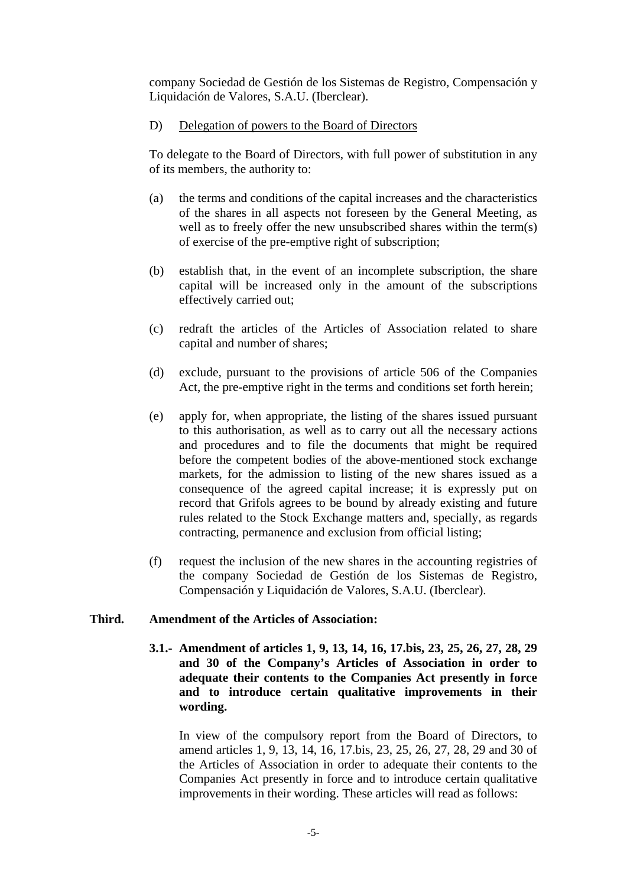company Sociedad de Gestión de los Sistemas de Registro, Compensación y Liquidación de Valores, S.A.U. (Iberclear).

### D) Delegation of powers to the Board of Directors

To delegate to the Board of Directors, with full power of substitution in any of its members, the authority to:

- (a) the terms and conditions of the capital increases and the characteristics of the shares in all aspects not foreseen by the General Meeting, as well as to freely offer the new unsubscribed shares within the term(s) of exercise of the pre-emptive right of subscription;
- (b) establish that, in the event of an incomplete subscription, the share capital will be increased only in the amount of the subscriptions effectively carried out;
- (c) redraft the articles of the Articles of Association related to share capital and number of shares;
- (d) exclude, pursuant to the provisions of article 506 of the Companies Act, the pre-emptive right in the terms and conditions set forth herein;
- (e) apply for, when appropriate, the listing of the shares issued pursuant to this authorisation, as well as to carry out all the necessary actions and procedures and to file the documents that might be required before the competent bodies of the above-mentioned stock exchange markets, for the admission to listing of the new shares issued as a consequence of the agreed capital increase; it is expressly put on record that Grifols agrees to be bound by already existing and future rules related to the Stock Exchange matters and, specially, as regards contracting, permanence and exclusion from official listing;
- (f) request the inclusion of the new shares in the accounting registries of the company Sociedad de Gestión de los Sistemas de Registro, Compensación y Liquidación de Valores, S.A.U. (Iberclear).

### **Third. Amendment of the Articles of Association:**

**3.1.- Amendment of articles 1, 9, 13, 14, 16, 17.bis, 23, 25, 26, 27, 28, 29 and 30 of the Company's Articles of Association in order to adequate their contents to the Companies Act presently in force and to introduce certain qualitative improvements in their wording.** 

In view of the compulsory report from the Board of Directors, to amend articles 1, 9, 13, 14, 16, 17.bis, 23, 25, 26, 27, 28, 29 and 30 of the Articles of Association in order to adequate their contents to the Companies Act presently in force and to introduce certain qualitative improvements in their wording. These articles will read as follows: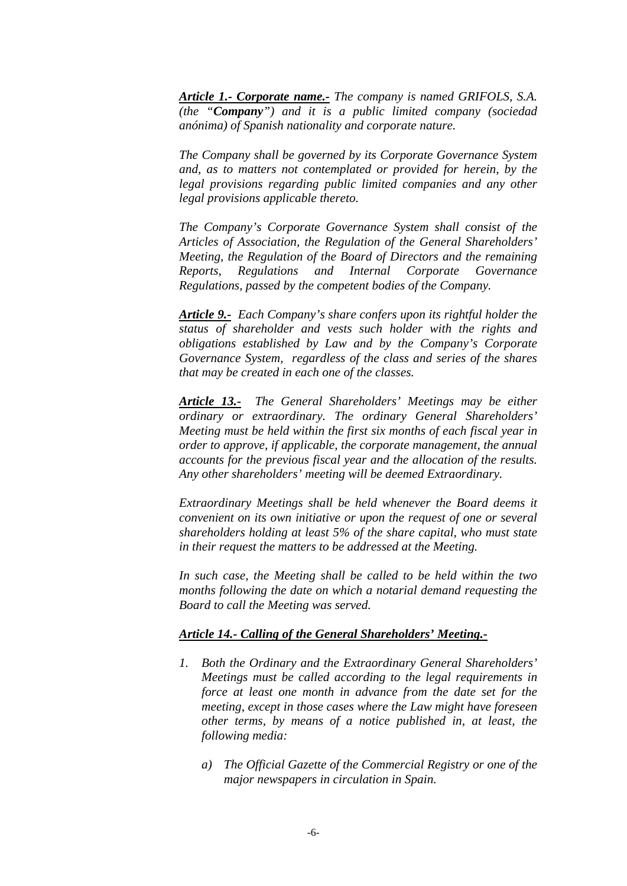*Article 1.- Corporate name.- The company is named GRIFOLS, S.A. (the "Company") and it is a public limited company (sociedad anónima) of Spanish nationality and corporate nature.* 

*The Company shall be governed by its Corporate Governance System and, as to matters not contemplated or provided for herein, by the legal provisions regarding public limited companies and any other legal provisions applicable thereto.* 

*The Company's Corporate Governance System shall consist of the Articles of Association, the Regulation of the General Shareholders' Meeting, the Regulation of the Board of Directors and the remaining Reports, Regulations and Internal Corporate Governance Regulations, passed by the competent bodies of the Company.* 

*Article 9.- Each Company's share confers upon its rightful holder the status of shareholder and vests such holder with the rights and obligations established by Law and by the Company's Corporate Governance System, regardless of the class and series of the shares that may be created in each one of the classes.* 

*Article 13.- The General Shareholders' Meetings may be either ordinary or extraordinary. The ordinary General Shareholders' Meeting must be held within the first six months of each fiscal year in order to approve, if applicable, the corporate management, the annual accounts for the previous fiscal year and the allocation of the results. Any other shareholders' meeting will be deemed Extraordinary.* 

*Extraordinary Meetings shall be held whenever the Board deems it convenient on its own initiative or upon the request of one or several shareholders holding at least 5% of the share capital, who must state in their request the matters to be addressed at the Meeting.* 

*In such case, the Meeting shall be called to be held within the two months following the date on which a notarial demand requesting the Board to call the Meeting was served.* 

### *Article 14.- Calling of the General Shareholders' Meeting.-*

- *1. Both the Ordinary and the Extraordinary General Shareholders' Meetings must be called according to the legal requirements in force at least one month in advance from the date set for the meeting, except in those cases where the Law might have foreseen other terms, by means of a notice published in, at least, the following media:* 
	- *a) The Official Gazette of the Commercial Registry or one of the major newspapers in circulation in Spain.*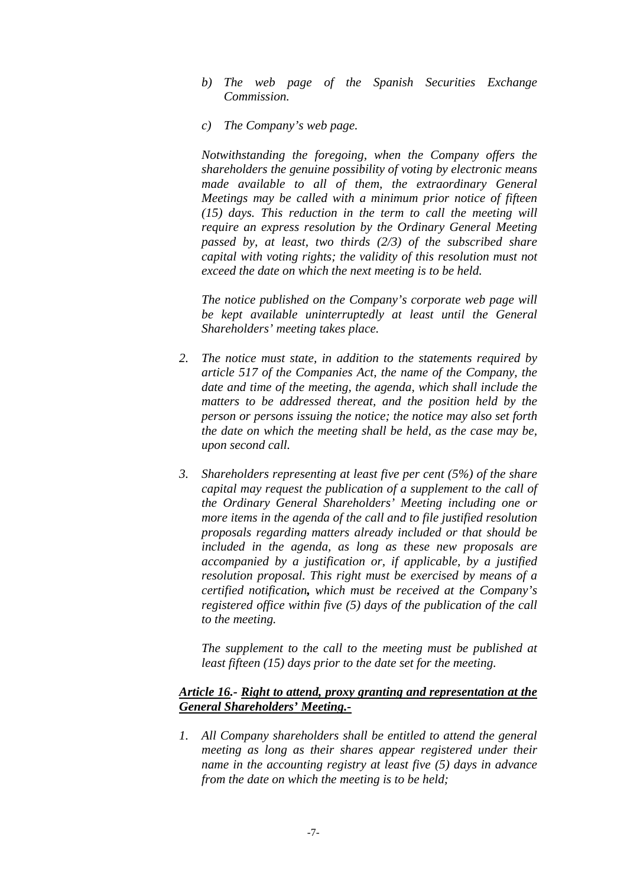- *b) The web page of the Spanish Securities Exchange Commission.*
- *c) The Company's web page.*

*Notwithstanding the foregoing, when the Company offers the shareholders the genuine possibility of voting by electronic means made available to all of them, the extraordinary General Meetings may be called with a minimum prior notice of fifteen (15) days. This reduction in the term to call the meeting will require an express resolution by the Ordinary General Meeting passed by, at least, two thirds (2/3) of the subscribed share capital with voting rights; the validity of this resolution must not exceed the date on which the next meeting is to be held.* 

*The notice published on the Company's corporate web page will be kept available uninterruptedly at least until the General Shareholders' meeting takes place.* 

- *2. The notice must state, in addition to the statements required by article 517 of the Companies Act, the name of the Company, the date and time of the meeting, the agenda, which shall include the matters to be addressed thereat, and the position held by the person or persons issuing the notice; the notice may also set forth the date on which the meeting shall be held, as the case may be, upon second call.*
- *3. Shareholders representing at least five per cent (5%) of the share capital may request the publication of a supplement to the call of the Ordinary General Shareholders' Meeting including one or more items in the agenda of the call and to file justified resolution proposals regarding matters already included or that should be included in the agenda, as long as these new proposals are accompanied by a justification or, if applicable, by a justified resolution proposal. This right must be exercised by means of a certified notification, which must be received at the Company's registered office within five (5) days of the publication of the call to the meeting.*

*The supplement to the call to the meeting must be published at least fifteen (15) days prior to the date set for the meeting.* 

### *Article 16.- Right to attend, proxy granting and representation at the General Shareholders' Meeting.-*

*1. All Company shareholders shall be entitled to attend the general meeting as long as their shares appear registered under their name in the accounting registry at least five (5) days in advance from the date on which the meeting is to be held;*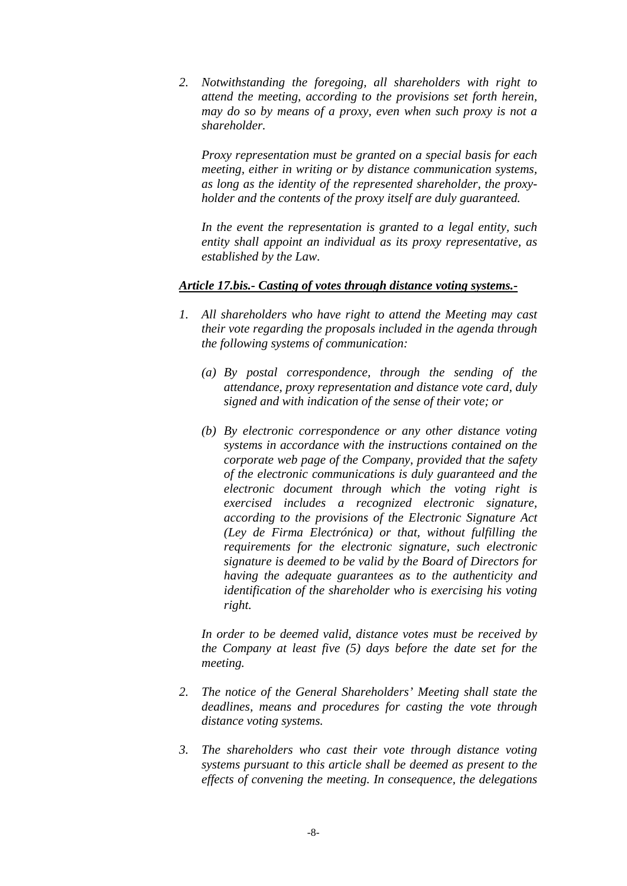*2. Notwithstanding the foregoing, all shareholders with right to attend the meeting, according to the provisions set forth herein, may do so by means of a proxy, even when such proxy is not a shareholder.* 

*Proxy representation must be granted on a special basis for each meeting, either in writing or by distance communication systems, as long as the identity of the represented shareholder, the proxyholder and the contents of the proxy itself are duly guaranteed.* 

*In the event the representation is granted to a legal entity, such entity shall appoint an individual as its proxy representative, as established by the Law.* 

### *Article 17.bis.- Casting of votes through distance voting systems.-*

- *1. All shareholders who have right to attend the Meeting may cast their vote regarding the proposals included in the agenda through the following systems of communication:* 
	- *(a) By postal correspondence, through the sending of the attendance, proxy representation and distance vote card, duly signed and with indication of the sense of their vote; or*
	- *(b) By electronic correspondence or any other distance voting systems in accordance with the instructions contained on the corporate web page of the Company, provided that the safety of the electronic communications is duly guaranteed and the electronic document through which the voting right is exercised includes a recognized electronic signature, according to the provisions of the Electronic Signature Act (Ley de Firma Electrónica) or that, without fulfilling the requirements for the electronic signature, such electronic signature is deemed to be valid by the Board of Directors for having the adequate guarantees as to the authenticity and identification of the shareholder who is exercising his voting right.*

*In order to be deemed valid, distance votes must be received by the Company at least five (5) days before the date set for the meeting.* 

- *2. The notice of the General Shareholders' Meeting shall state the deadlines, means and procedures for casting the vote through distance voting systems.*
- *3. The shareholders who cast their vote through distance voting systems pursuant to this article shall be deemed as present to the effects of convening the meeting. In consequence, the delegations*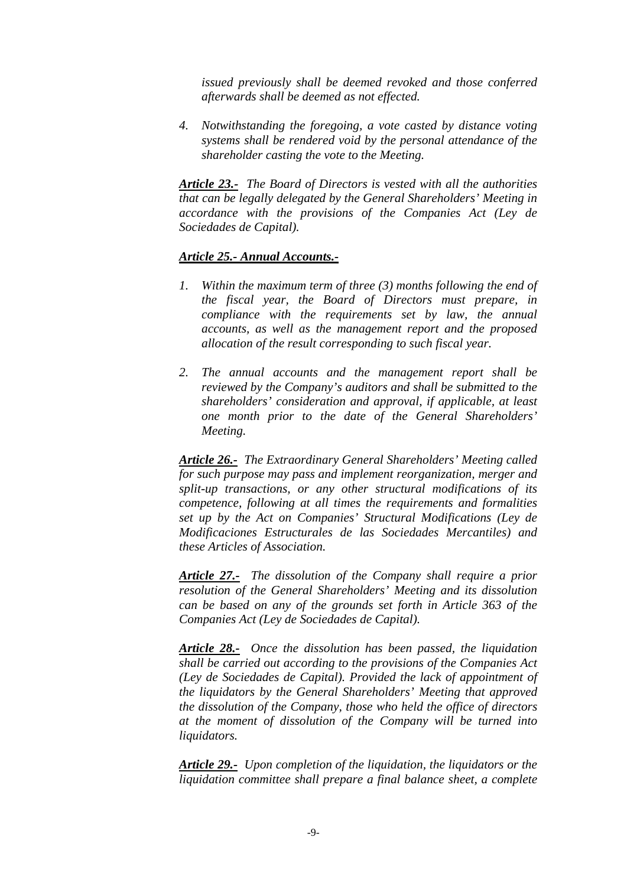*issued previously shall be deemed revoked and those conferred afterwards shall be deemed as not effected.* 

*4. Notwithstanding the foregoing, a vote casted by distance voting systems shall be rendered void by the personal attendance of the shareholder casting the vote to the Meeting.* 

*Article 23.- The Board of Directors is vested with all the authorities that can be legally delegated by the General Shareholders' Meeting in accordance with the provisions of the Companies Act (Ley de Sociedades de Capital).* 

### *Article 25.- Annual Accounts.-*

- *1. Within the maximum term of three (3) months following the end of the fiscal year, the Board of Directors must prepare, in compliance with the requirements set by law, the annual accounts, as well as the management report and the proposed allocation of the result corresponding to such fiscal year.*
- *2. The annual accounts and the management report shall be reviewed by the Company's auditors and shall be submitted to the shareholders' consideration and approval, if applicable, at least one month prior to the date of the General Shareholders' Meeting.*

*Article 26.- The Extraordinary General Shareholders' Meeting called for such purpose may pass and implement reorganization, merger and split-up transactions, or any other structural modifications of its competence, following at all times the requirements and formalities set up by the Act on Companies' Structural Modifications (Ley de Modificaciones Estructurales de las Sociedades Mercantiles) and these Articles of Association.* 

*Article 27.- The dissolution of the Company shall require a prior resolution of the General Shareholders' Meeting and its dissolution can be based on any of the grounds set forth in Article 363 of the Companies Act (Ley de Sociedades de Capital).* 

*Article 28.- Once the dissolution has been passed, the liquidation shall be carried out according to the provisions of the Companies Act (Ley de Sociedades de Capital). Provided the lack of appointment of the liquidators by the General Shareholders' Meeting that approved the dissolution of the Company, those who held the office of directors at the moment of dissolution of the Company will be turned into liquidators.* 

*Article 29.- Upon completion of the liquidation, the liquidators or the liquidation committee shall prepare a final balance sheet, a complete*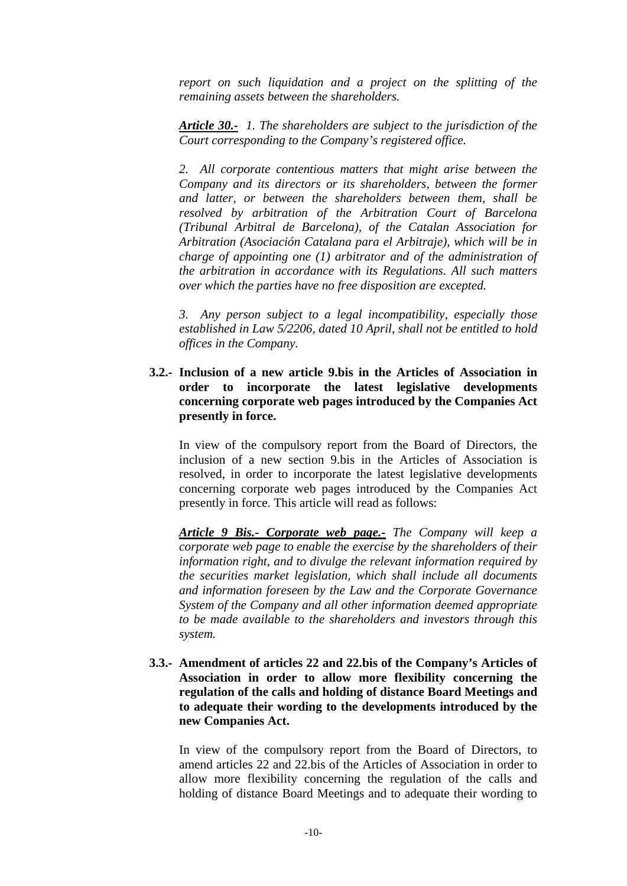*report on such liquidation and a project on the splitting of the remaining assets between the shareholders.* 

*Article 30.- 1. The shareholders are subject to the jurisdiction of the Court corresponding to the Company's registered office.* 

*2. All corporate contentious matters that might arise between the Company and its directors or its shareholders, between the former and latter, or between the shareholders between them, shall be resolved by arbitration of the Arbitration Court of Barcelona (Tribunal Arbitral de Barcelona), of the Catalan Association for Arbitration (Asociación Catalana para el Arbitraje), which will be in charge of appointing one (1) arbitrator and of the administration of the arbitration in accordance with its Regulations. All such matters over which the parties have no free disposition are excepted.* 

*3. Any person subject to a legal incompatibility, especially those established in Law 5/2206, dated 10 April, shall not be entitled to hold offices in the Company.* 

**3.2.- Inclusion of a new article 9.bis in the Articles of Association in order to incorporate the latest legislative developments concerning corporate web pages introduced by the Companies Act presently in force.** 

In view of the compulsory report from the Board of Directors, the inclusion of a new section 9.bis in the Articles of Association is resolved, in order to incorporate the latest legislative developments concerning corporate web pages introduced by the Companies Act presently in force. This article will read as follows:

*Article 9 Bis.- Corporate web page.- The Company will keep a corporate web page to enable the exercise by the shareholders of their information right, and to divulge the relevant information required by the securities market legislation, which shall include all documents and information foreseen by the Law and the Corporate Governance System of the Company and all other information deemed appropriate to be made available to the shareholders and investors through this system.* 

**3.3.- Amendment of articles 22 and 22.bis of the Company's Articles of Association in order to allow more flexibility concerning the regulation of the calls and holding of distance Board Meetings and to adequate their wording to the developments introduced by the new Companies Act.** 

In view of the compulsory report from the Board of Directors, to amend articles 22 and 22.bis of the Articles of Association in order to allow more flexibility concerning the regulation of the calls and holding of distance Board Meetings and to adequate their wording to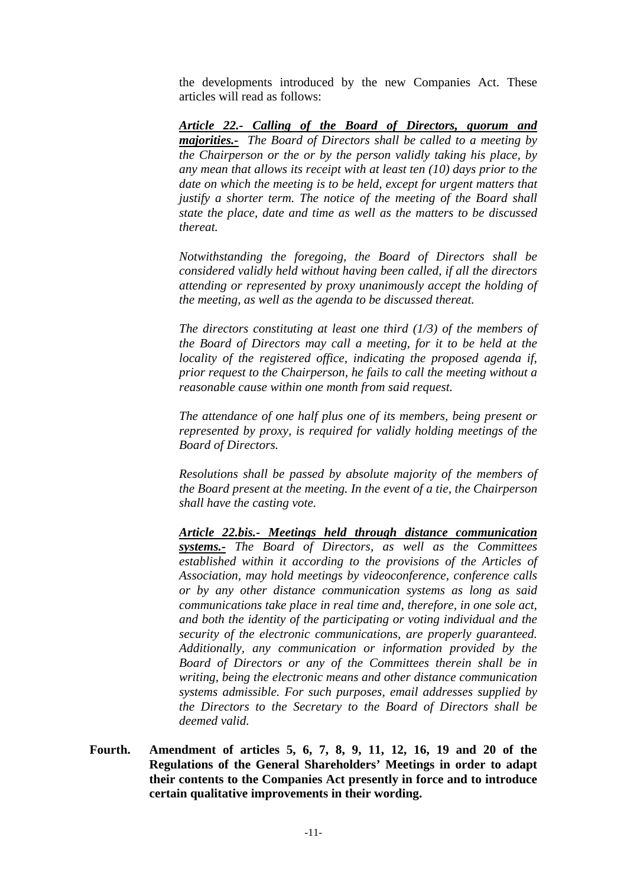the developments introduced by the new Companies Act. These articles will read as follows:

*Article 22.- Calling of the Board of Directors, quorum and majorities.- The Board of Directors shall be called to a meeting by the Chairperson or the or by the person validly taking his place, by any mean that allows its receipt with at least ten (10) days prior to the date on which the meeting is to be held, except for urgent matters that justify a shorter term. The notice of the meeting of the Board shall state the place, date and time as well as the matters to be discussed thereat.* 

 *Notwithstanding the foregoing, the Board of Directors shall be considered validly held without having been called, if all the directors attending or represented by proxy unanimously accept the holding of the meeting, as well as the agenda to be discussed thereat.* 

 *The directors constituting at least one third (1/3) of the members of the Board of Directors may call a meeting, for it to be held at the locality of the registered office, indicating the proposed agenda if, prior request to the Chairperson, he fails to call the meeting without a reasonable cause within one month from said request.* 

 *The attendance of one half plus one of its members, being present or represented by proxy, is required for validly holding meetings of the Board of Directors.* 

 *Resolutions shall be passed by absolute majority of the members of the Board present at the meeting. In the event of a tie, the Chairperson shall have the casting vote.* 

 *Article 22.bis.- Meetings held through distance communication systems.- The Board of Directors, as well as the Committees established within it according to the provisions of the Articles of Association, may hold meetings by videoconference, conference calls or by any other distance communication systems as long as said communications take place in real time and, therefore, in one sole act, and both the identity of the participating or voting individual and the security of the electronic communications, are properly guaranteed. Additionally, any communication or information provided by the Board of Directors or any of the Committees therein shall be in writing, being the electronic means and other distance communication systems admissible. For such purposes, email addresses supplied by the Directors to the Secretary to the Board of Directors shall be deemed valid.* 

**Fourth. Amendment of articles 5, 6, 7, 8, 9, 11, 12, 16, 19 and 20 of the Regulations of the General Shareholders' Meetings in order to adapt their contents to the Companies Act presently in force and to introduce certain qualitative improvements in their wording.**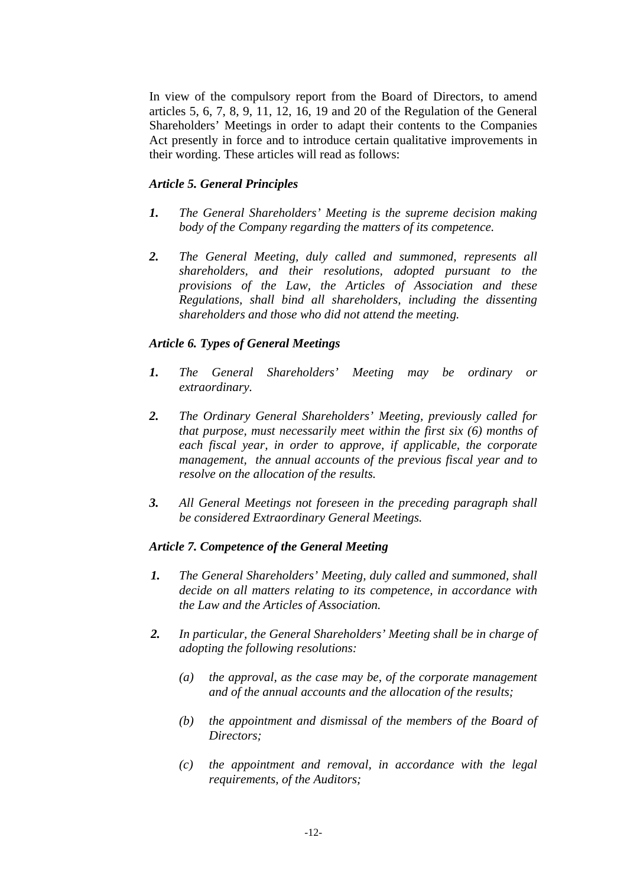In view of the compulsory report from the Board of Directors, to amend articles 5, 6, 7, 8, 9, 11, 12, 16, 19 and 20 of the Regulation of the General Shareholders' Meetings in order to adapt their contents to the Companies Act presently in force and to introduce certain qualitative improvements in their wording. These articles will read as follows:

# *Article 5. General Principles*

- *1. The General Shareholders' Meeting is the supreme decision making body of the Company regarding the matters of its competence.*
- *2. The General Meeting, duly called and summoned, represents all shareholders, and their resolutions, adopted pursuant to the provisions of the Law, the Articles of Association and these Regulations, shall bind all shareholders, including the dissenting shareholders and those who did not attend the meeting.*

# *Article 6. Types of General Meetings*

- *1. The General Shareholders' Meeting may be ordinary or extraordinary.*
- *2. The Ordinary General Shareholders' Meeting, previously called for that purpose, must necessarily meet within the first six (6) months of each fiscal year, in order to approve, if applicable, the corporate management, the annual accounts of the previous fiscal year and to resolve on the allocation of the results.*
- *3. All General Meetings not foreseen in the preceding paragraph shall be considered Extraordinary General Meetings.*

### *Article 7. Competence of the General Meeting*

- *1. The General Shareholders' Meeting, duly called and summoned, shall decide on all matters relating to its competence, in accordance with the Law and the Articles of Association.*
- *2. In particular, the General Shareholders' Meeting shall be in charge of adopting the following resolutions:* 
	- *(a) the approval, as the case may be, of the corporate management and of the annual accounts and the allocation of the results;*
	- *(b) the appointment and dismissal of the members of the Board of Directors;*
	- *(c) the appointment and removal, in accordance with the legal requirements, of the Auditors;*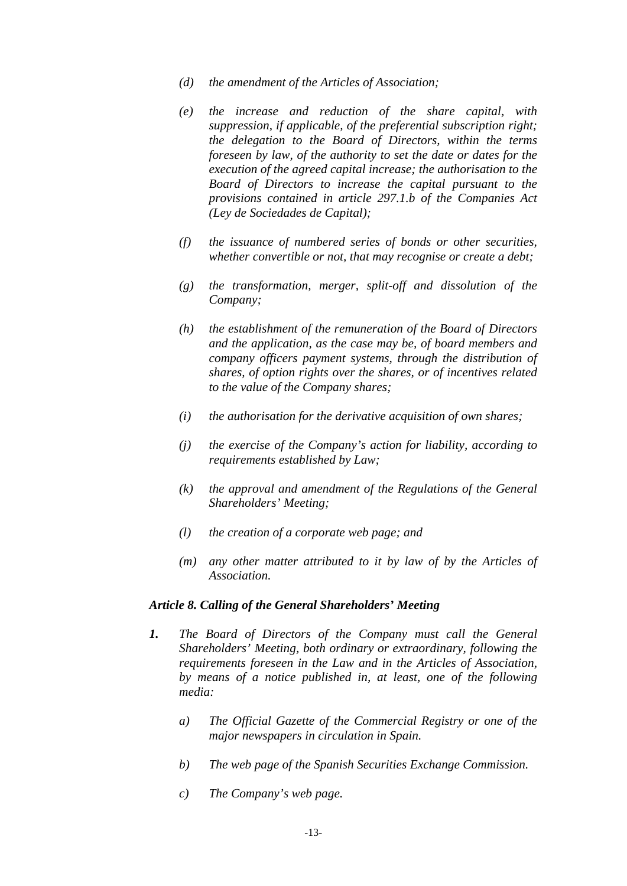- *(d) the amendment of the Articles of Association;*
- *(e) the increase and reduction of the share capital, with suppression, if applicable, of the preferential subscription right; the delegation to the Board of Directors, within the terms foreseen by law, of the authority to set the date or dates for the execution of the agreed capital increase; the authorisation to the Board of Directors to increase the capital pursuant to the provisions contained in article 297.1.b of the Companies Act (Ley de Sociedades de Capital);*
- *(f) the issuance of numbered series of bonds or other securities, whether convertible or not, that may recognise or create a debt;*
- *(g) the transformation, merger, split-off and dissolution of the Company;*
- *(h) the establishment of the remuneration of the Board of Directors and the application, as the case may be, of board members and company officers payment systems, through the distribution of shares, of option rights over the shares, or of incentives related to the value of the Company shares;*
- *(i) the authorisation for the derivative acquisition of own shares;*
- *(j) the exercise of the Company's action for liability, according to requirements established by Law;*
- *(k) the approval and amendment of the Regulations of the General Shareholders' Meeting;*
- *(l) the creation of a corporate web page; and*
- *(m) any other matter attributed to it by law of by the Articles of Association.*

#### *Article 8. Calling of the General Shareholders' Meeting*

- *1. The Board of Directors of the Company must call the General Shareholders' Meeting, both ordinary or extraordinary, following the requirements foreseen in the Law and in the Articles of Association, by means of a notice published in, at least, one of the following media:* 
	- *a) The Official Gazette of the Commercial Registry or one of the major newspapers in circulation in Spain.*
	- *b) The web page of the Spanish Securities Exchange Commission.*
	- *c) The Company's web page.*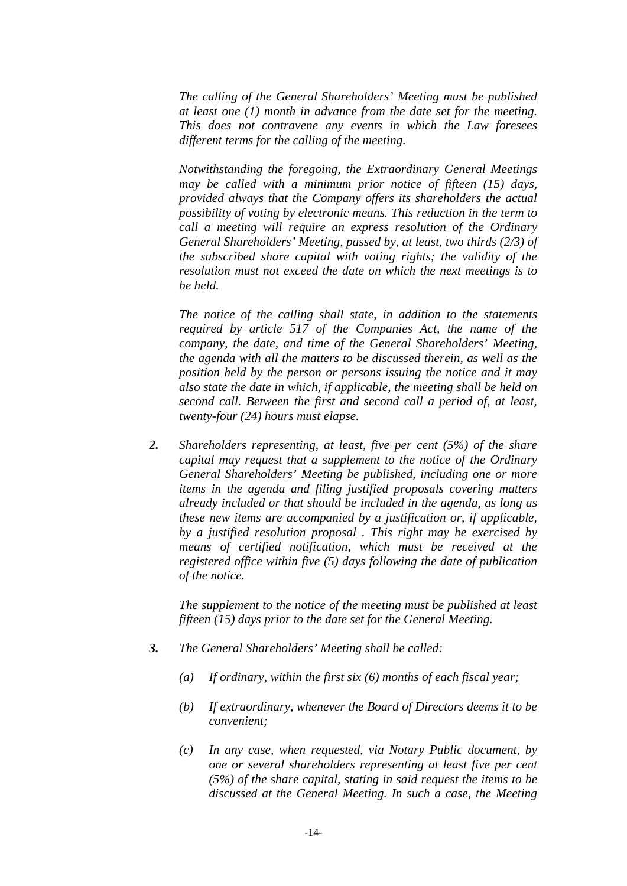*The calling of the General Shareholders' Meeting must be published at least one (1) month in advance from the date set for the meeting. This does not contravene any events in which the Law foresees different terms for the calling of the meeting.* 

*Notwithstanding the foregoing, the Extraordinary General Meetings may be called with a minimum prior notice of fifteen (15) days, provided always that the Company offers its shareholders the actual possibility of voting by electronic means. This reduction in the term to call a meeting will require an express resolution of the Ordinary General Shareholders' Meeting, passed by, at least, two thirds (2/3) of the subscribed share capital with voting rights; the validity of the resolution must not exceed the date on which the next meetings is to be held.* 

*The notice of the calling shall state, in addition to the statements required by article 517 of the Companies Act, the name of the company, the date, and time of the General Shareholders' Meeting, the agenda with all the matters to be discussed therein, as well as the position held by the person or persons issuing the notice and it may also state the date in which, if applicable, the meeting shall be held on second call. Between the first and second call a period of, at least, twenty-four (24) hours must elapse.* 

*2. Shareholders representing, at least, five per cent (5%) of the share capital may request that a supplement to the notice of the Ordinary General Shareholders' Meeting be published, including one or more items in the agenda and filing justified proposals covering matters already included or that should be included in the agenda, as long as these new items are accompanied by a justification or, if applicable, by a justified resolution proposal . This right may be exercised by means of certified notification, which must be received at the registered office within five (5) days following the date of publication of the notice.* 

*The supplement to the notice of the meeting must be published at least fifteen (15) days prior to the date set for the General Meeting.* 

- *3. The General Shareholders' Meeting shall be called:* 
	- *(a) If ordinary, within the first six (6) months of each fiscal year;*
	- *(b) If extraordinary, whenever the Board of Directors deems it to be convenient;*
	- *(c) In any case, when requested, via Notary Public document, by one or several shareholders representing at least five per cent (5%) of the share capital, stating in said request the items to be discussed at the General Meeting. In such a case, the Meeting*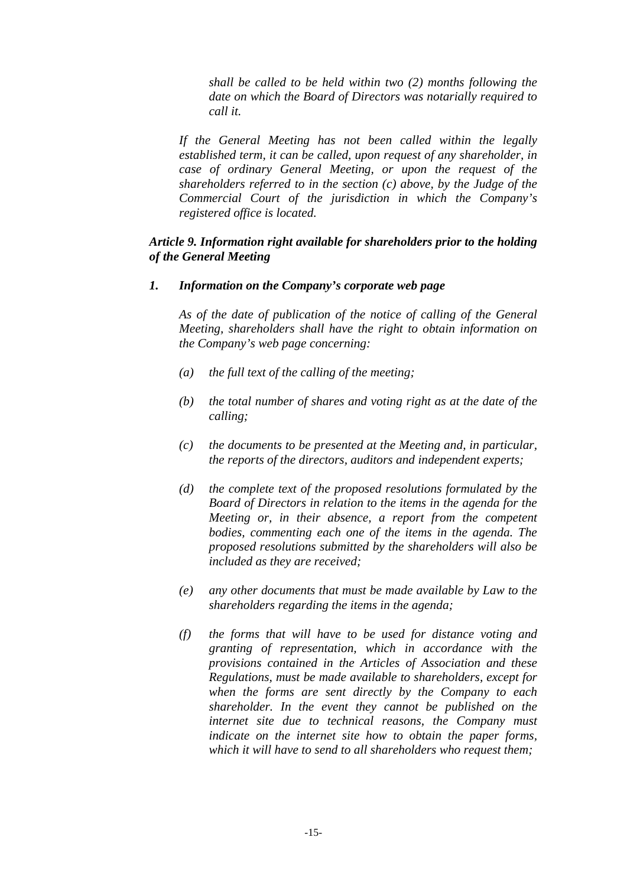*shall be called to be held within two (2) months following the date on which the Board of Directors was notarially required to call it.* 

*If the General Meeting has not been called within the legally established term, it can be called, upon request of any shareholder, in case of ordinary General Meeting, or upon the request of the shareholders referred to in the section (c) above, by the Judge of the Commercial Court of the jurisdiction in which the Company's registered office is located.* 

# *Article 9. Information right available for shareholders prior to the holding of the General Meeting*

### *1. Information on the Company's corporate web page*

*As of the date of publication of the notice of calling of the General Meeting, shareholders shall have the right to obtain information on the Company's web page concerning:* 

- *(a) the full text of the calling of the meeting;*
- *(b) the total number of shares and voting right as at the date of the calling;*
- *(c) the documents to be presented at the Meeting and, in particular, the reports of the directors, auditors and independent experts;*
- *(d) the complete text of the proposed resolutions formulated by the Board of Directors in relation to the items in the agenda for the Meeting or, in their absence, a report from the competent bodies, commenting each one of the items in the agenda. The proposed resolutions submitted by the shareholders will also be included as they are received;*
- *(e) any other documents that must be made available by Law to the shareholders regarding the items in the agenda;*
- *(f) the forms that will have to be used for distance voting and granting of representation, which in accordance with the provisions contained in the Articles of Association and these Regulations, must be made available to shareholders, except for when the forms are sent directly by the Company to each shareholder. In the event they cannot be published on the internet site due to technical reasons, the Company must indicate on the internet site how to obtain the paper forms, which it will have to send to all shareholders who request them;*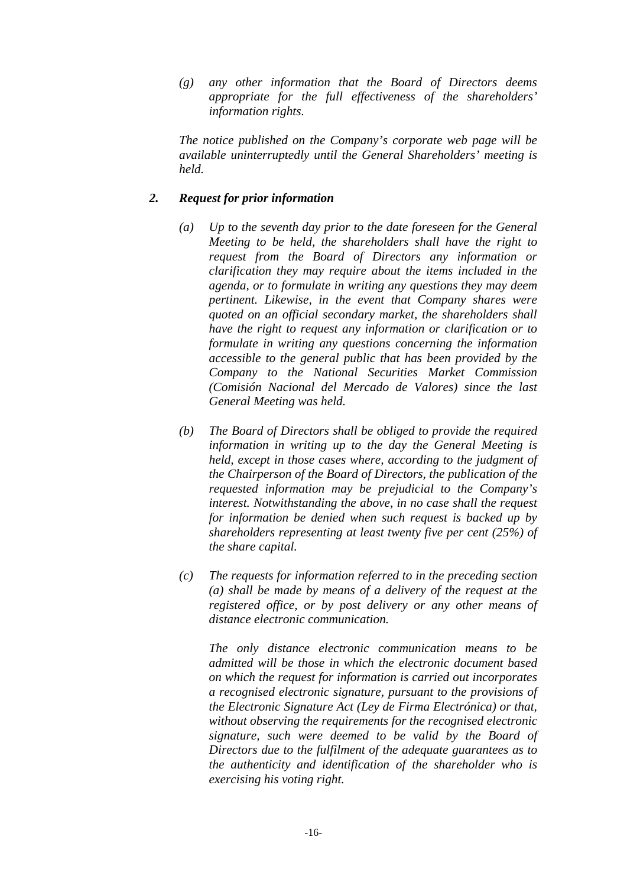*(g) any other information that the Board of Directors deems appropriate for the full effectiveness of the shareholders' information rights.* 

*The notice published on the Company's corporate web page will be available uninterruptedly until the General Shareholders' meeting is held.* 

# *2. Request for prior information*

- *(a) Up to the seventh day prior to the date foreseen for the General Meeting to be held, the shareholders shall have the right to request from the Board of Directors any information or clarification they may require about the items included in the agenda, or to formulate in writing any questions they may deem pertinent. Likewise, in the event that Company shares were quoted on an official secondary market, the shareholders shall have the right to request any information or clarification or to formulate in writing any questions concerning the information accessible to the general public that has been provided by the Company to the National Securities Market Commission (Comisión Nacional del Mercado de Valores) since the last General Meeting was held.*
- *(b) The Board of Directors shall be obliged to provide the required information in writing up to the day the General Meeting is held, except in those cases where, according to the judgment of the Chairperson of the Board of Directors, the publication of the requested information may be prejudicial to the Company's interest. Notwithstanding the above, in no case shall the request for information be denied when such request is backed up by shareholders representing at least twenty five per cent (25%) of the share capital.*
- *(c) The requests for information referred to in the preceding section (a) shall be made by means of a delivery of the request at the registered office, or by post delivery or any other means of distance electronic communication.*

*The only distance electronic communication means to be admitted will be those in which the electronic document based on which the request for information is carried out incorporates a recognised electronic signature, pursuant to the provisions of the Electronic Signature Act (Ley de Firma Electrónica) or that, without observing the requirements for the recognised electronic signature, such were deemed to be valid by the Board of Directors due to the fulfilment of the adequate guarantees as to the authenticity and identification of the shareholder who is exercising his voting right.*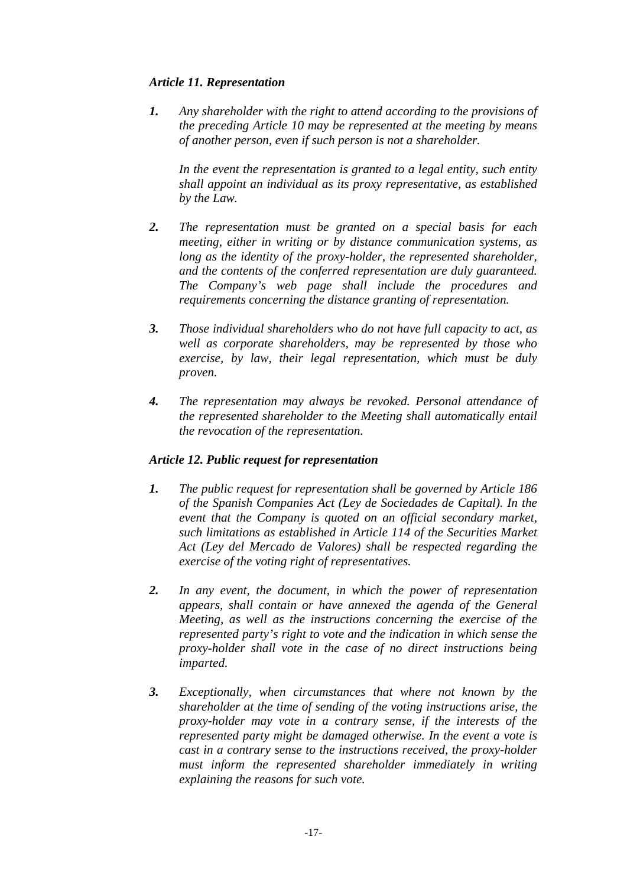# *Article 11. Representation*

*1. Any shareholder with the right to attend according to the provisions of the preceding Article 10 may be represented at the meeting by means of another person, even if such person is not a shareholder.* 

In the event the representation is granted to a legal entity, such entity *shall appoint an individual as its proxy representative, as established by the Law.* 

- *2. The representation must be granted on a special basis for each meeting, either in writing or by distance communication systems, as long as the identity of the proxy-holder, the represented shareholder, and the contents of the conferred representation are duly guaranteed. The Company's web page shall include the procedures and requirements concerning the distance granting of representation.*
- *3. Those individual shareholders who do not have full capacity to act, as well as corporate shareholders, may be represented by those who exercise, by law, their legal representation, which must be duly proven.*
- *4. The representation may always be revoked. Personal attendance of the represented shareholder to the Meeting shall automatically entail the revocation of the representation.*

# *Article 12. Public request for representation*

- *1. The public request for representation shall be governed by Article 186 of the Spanish Companies Act (Ley de Sociedades de Capital). In the event that the Company is quoted on an official secondary market, such limitations as established in Article 114 of the Securities Market Act (Ley del Mercado de Valores) shall be respected regarding the exercise of the voting right of representatives.*
- *2. In any event, the document, in which the power of representation appears, shall contain or have annexed the agenda of the General Meeting, as well as the instructions concerning the exercise of the represented party's right to vote and the indication in which sense the proxy-holder shall vote in the case of no direct instructions being imparted.*
- *3. Exceptionally, when circumstances that where not known by the shareholder at the time of sending of the voting instructions arise, the proxy-holder may vote in a contrary sense, if the interests of the represented party might be damaged otherwise. In the event a vote is cast in a contrary sense to the instructions received, the proxy-holder must inform the represented shareholder immediately in writing explaining the reasons for such vote.*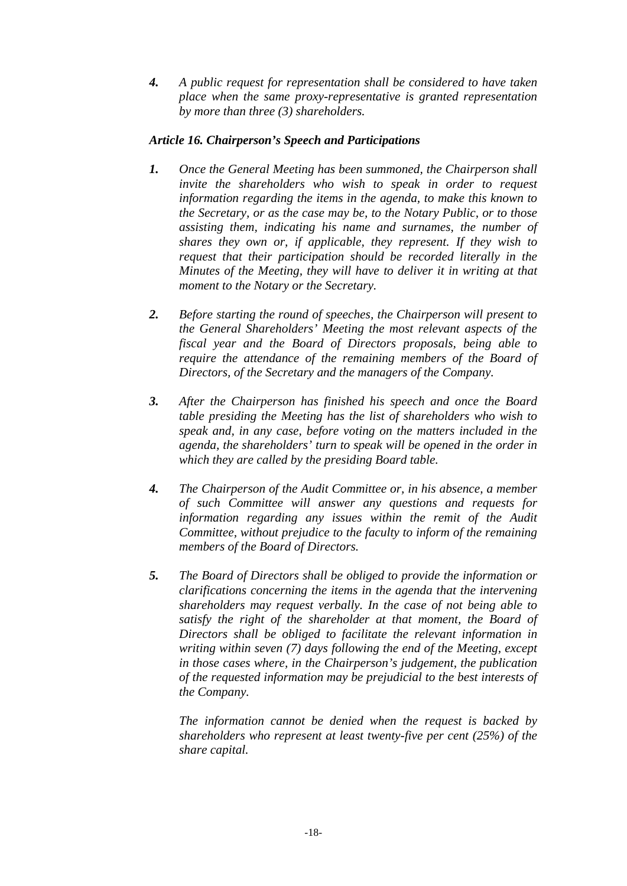*4. A public request for representation shall be considered to have taken place when the same proxy-representative is granted representation by more than three (3) shareholders.* 

# *Article 16. Chairperson's Speech and Participations*

- *1. Once the General Meeting has been summoned, the Chairperson shall invite the shareholders who wish to speak in order to request information regarding the items in the agenda, to make this known to the Secretary, or as the case may be, to the Notary Public, or to those assisting them, indicating his name and surnames, the number of shares they own or, if applicable, they represent. If they wish to request that their participation should be recorded literally in the Minutes of the Meeting, they will have to deliver it in writing at that moment to the Notary or the Secretary.*
- *2. Before starting the round of speeches, the Chairperson will present to the General Shareholders' Meeting the most relevant aspects of the fiscal year and the Board of Directors proposals, being able to require the attendance of the remaining members of the Board of Directors, of the Secretary and the managers of the Company.*
- *3. After the Chairperson has finished his speech and once the Board table presiding the Meeting has the list of shareholders who wish to speak and, in any case, before voting on the matters included in the agenda, the shareholders' turn to speak will be opened in the order in which they are called by the presiding Board table.*
- *4. The Chairperson of the Audit Committee or, in his absence, a member of such Committee will answer any questions and requests for information regarding any issues within the remit of the Audit Committee, without prejudice to the faculty to inform of the remaining members of the Board of Directors.*
- *5. The Board of Directors shall be obliged to provide the information or clarifications concerning the items in the agenda that the intervening shareholders may request verbally. In the case of not being able to satisfy the right of the shareholder at that moment, the Board of Directors shall be obliged to facilitate the relevant information in writing within seven (7) days following the end of the Meeting, except in those cases where, in the Chairperson's judgement, the publication of the requested information may be prejudicial to the best interests of the Company.*

*The information cannot be denied when the request is backed by shareholders who represent at least twenty-five per cent (25%) of the share capital.*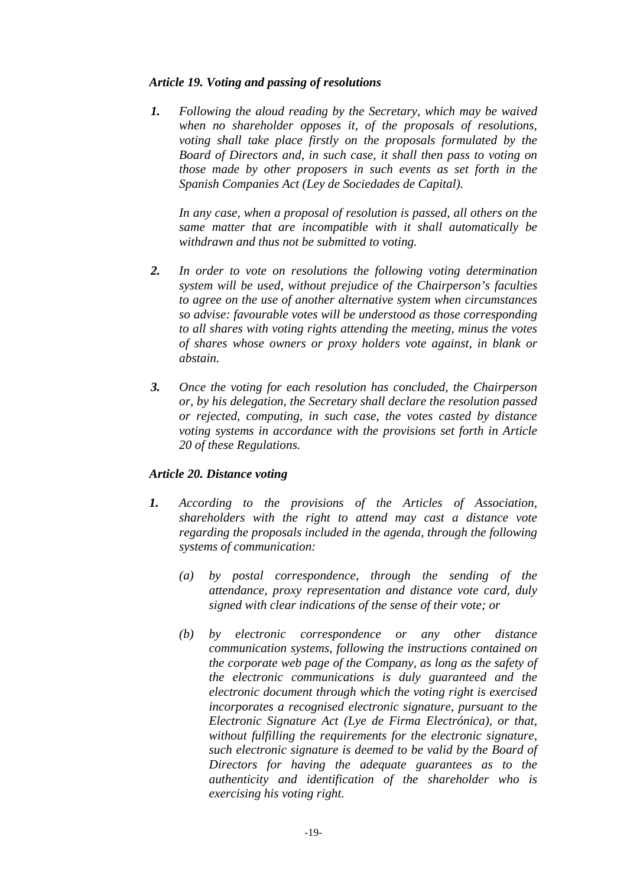# *Article 19. Voting and passing of resolutions*

*1. Following the aloud reading by the Secretary, which may be waived when no shareholder opposes it, of the proposals of resolutions, voting shall take place firstly on the proposals formulated by the Board of Directors and, in such case, it shall then pass to voting on those made by other proposers in such events as set forth in the Spanish Companies Act (Ley de Sociedades de Capital).* 

*In any case, when a proposal of resolution is passed, all others on the same matter that are incompatible with it shall automatically be withdrawn and thus not be submitted to voting.* 

- *2. In order to vote on resolutions the following voting determination system will be used, without prejudice of the Chairperson's faculties to agree on the use of another alternative system when circumstances so advise: favourable votes will be understood as those corresponding to all shares with voting rights attending the meeting, minus the votes of shares whose owners or proxy holders vote against, in blank or abstain.*
- *3. Once the voting for each resolution has concluded, the Chairperson or, by his delegation, the Secretary shall declare the resolution passed or rejected, computing, in such case, the votes casted by distance voting systems in accordance with the provisions set forth in Article 20 of these Regulations.*

### *Article 20. Distance voting*

- *1. According to the provisions of the Articles of Association, shareholders with the right to attend may cast a distance vote regarding the proposals included in the agenda, through the following systems of communication:* 
	- *(a) by postal correspondence, through the sending of the attendance, proxy representation and distance vote card, duly signed with clear indications of the sense of their vote; or*
	- *(b) by electronic correspondence or any other distance communication systems, following the instructions contained on the corporate web page of the Company, as long as the safety of the electronic communications is duly guaranteed and the electronic document through which the voting right is exercised incorporates a recognised electronic signature, pursuant to the Electronic Signature Act (Lye de Firma Electrónica), or that, without fulfilling the requirements for the electronic signature, such electronic signature is deemed to be valid by the Board of Directors for having the adequate guarantees as to the authenticity and identification of the shareholder who is exercising his voting right.*